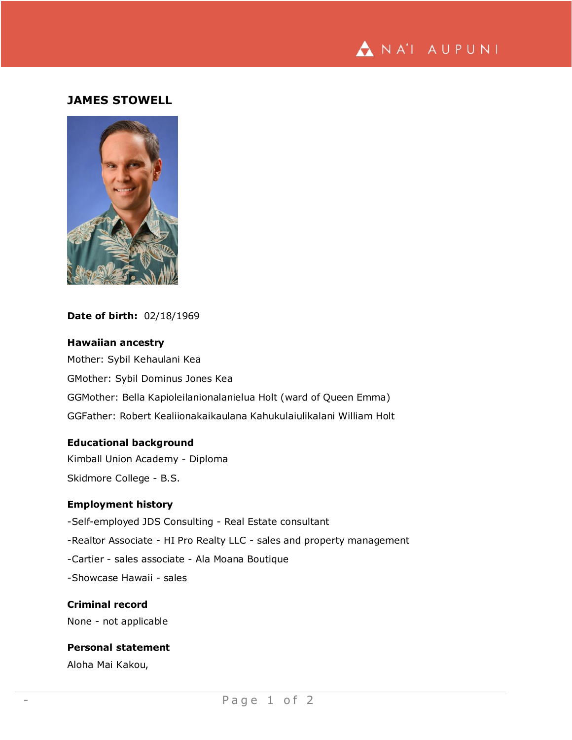

## **JAMES STOWELL**



#### **Date of birth:** 02/18/1969

**Hawaiian ancestry** Mother: Sybil Kehaulani Kea GMother: Sybil Dominus Jones Kea GGMother: Bella Kapioleilanionalanielua Holt (ward of Queen Emma) GGFather: Robert Kealiionakaikaulana Kahukulaiulikalani William Holt

### **Educational background**

Kimball Union Academy - Diploma Skidmore College - B.S.

### **Employment history**

-Self-employed JDS Consulting - Real Estate consultant

-Realtor Associate - HI Pro Realty LLC - sales and property management

-Cartier - sales associate - Ala Moana Boutique

-Showcase Hawaii - sales

#### **Criminal record**

None - not applicable

# **Personal statement**

Aloha Mai Kakou,